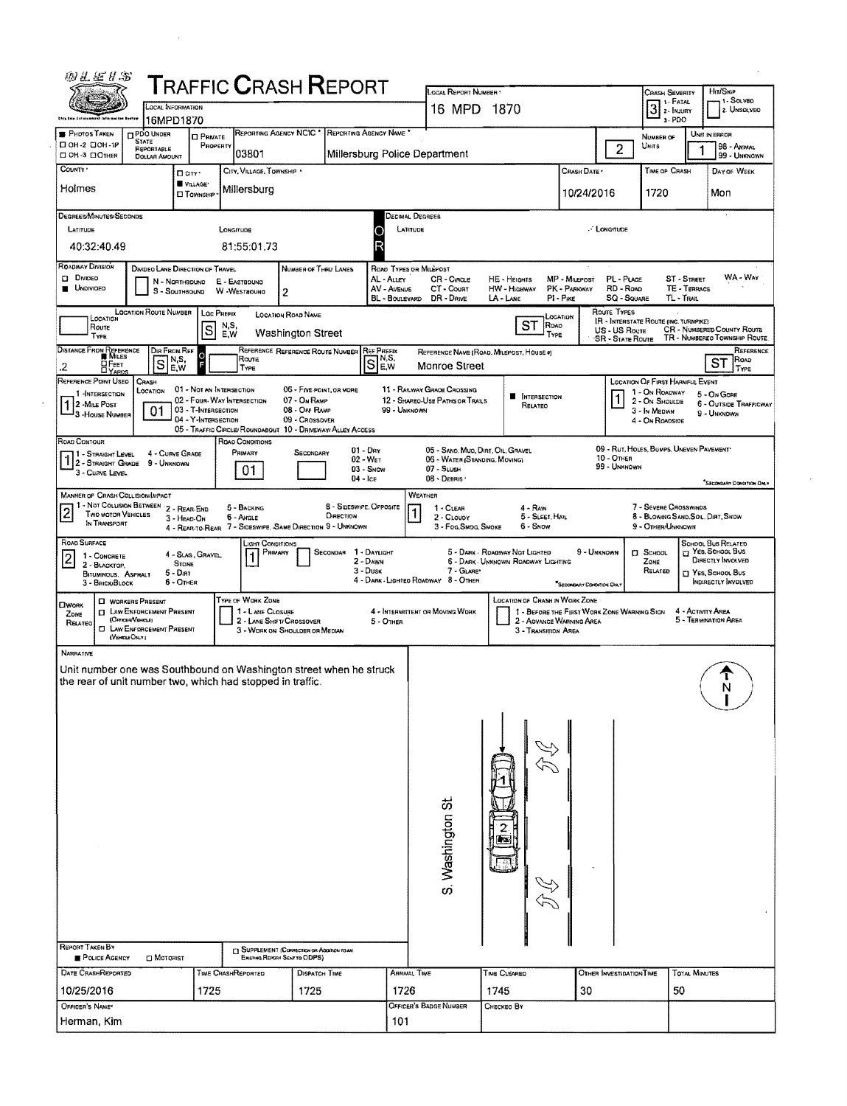|                                                                                                                                                      |                                                                        |                                                                        |                                                                                          | <b>TRAFFIC CRASH REPORT</b>                                                         |                                                              |                                                                              | LOCAL REPORT NUMBER                                                                               |                                                                                                                                  |                                            |                                                         | <b>CRASH SEVERITY</b><br>1.1- Fatal                                                                     | Hm/SKIP<br>11 SOLVED                                                                                     |
|------------------------------------------------------------------------------------------------------------------------------------------------------|------------------------------------------------------------------------|------------------------------------------------------------------------|------------------------------------------------------------------------------------------|-------------------------------------------------------------------------------------|--------------------------------------------------------------|------------------------------------------------------------------------------|---------------------------------------------------------------------------------------------------|----------------------------------------------------------------------------------------------------------------------------------|--------------------------------------------|---------------------------------------------------------|---------------------------------------------------------------------------------------------------------|----------------------------------------------------------------------------------------------------------|
|                                                                                                                                                      | LOCAL INFORMATION<br>16MPD1870                                         |                                                                        |                                                                                          |                                                                                     |                                                              |                                                                              | 16 MPD 1870                                                                                       |                                                                                                                                  |                                            |                                                         | $3$ $\frac{1.444}{2.00}$<br>$3 - PDO$                                                                   | 2. Unsolved                                                                                              |
| <b>PHOTOS TAKEN</b><br>П он-2 ПОН-1Р                                                                                                                 | <b>C</b> PDO UNDER<br><b>STATE</b><br>REPORTABLE                       | <b>O</b> PRIVATE<br>PROPERTY                                           | REPORTING AGENCY NCIC <sup>+</sup>                                                       |                                                                                     | REPORTING AGENCY NAME                                        |                                                                              |                                                                                                   |                                                                                                                                  |                                            | $\overline{2}$                                          | NUMBER OF<br>UNITS                                                                                      | UNIT IN ERROR<br>98 - ANIMAL                                                                             |
| CI OH -3 CIOTHER<br>COUNTY '                                                                                                                         | <b>DOLLAR AMOUNT</b>                                                   | □ City·                                                                | 03801<br>CITY, VILLAGE, TOWNSHIP                                                         |                                                                                     | Millersburg Police Department                                |                                                                              |                                                                                                   |                                                                                                                                  | CRASH DATE                                 |                                                         | TIME OF CRASH                                                                                           | 99 - UNKNOWN<br>DAY OF WEEK                                                                              |
| Holmes                                                                                                                                               |                                                                        | VILLAGE*<br><b>CI</b> TOWNSHIP                                         | Millersburg                                                                              |                                                                                     |                                                              |                                                                              |                                                                                                   |                                                                                                                                  | 10/24/2016                                 |                                                         | 1720                                                                                                    | Mon                                                                                                      |
| DEGREES/MINUTES/SECONDS                                                                                                                              |                                                                        |                                                                        |                                                                                          |                                                                                     |                                                              | Decimal Degrees                                                              |                                                                                                   |                                                                                                                                  |                                            |                                                         |                                                                                                         |                                                                                                          |
| LATITUDE<br>40:32:40.49                                                                                                                              |                                                                        |                                                                        | LONGITUDE<br>81:55:01.73                                                                 |                                                                                     | c                                                            | LATITUDE                                                                     |                                                                                                   |                                                                                                                                  |                                            | <b>LONGITUDE</b>                                        |                                                                                                         |                                                                                                          |
| <b>ROADWAY DIVISION</b><br><b>D</b> Divideo<br><b>UNDIVIDED</b>                                                                                      | DIVIDEO LANE DIRECTION OF TRAVEL<br>N - NORTHBOUND<br>S - SOUTHBOUND   |                                                                        | E - EASTBOUND<br>W -WESTBOUND                                                            | NUMBER OF THRU LANES<br>2                                                           |                                                              | <b>ROAD TYPES OR MILEPOST</b><br>AL - ALLEY<br>AV - AVENUE<br>BL - BOULEVARD | CR - CIRCLE<br>CT - Court<br>DR - DRIVE                                                           | HE - HEIGHTS<br>HW - HIGHWAY<br>$LA$ - LANE                                                                                      | MP - MILEPOST<br>PK - PARKWAY<br>PI - PIKE | PL - PLACE<br>RD - Roap<br>SQ - SQUARE                  | ST - STREET<br>TL-TRAIL                                                                                 | WA - WAY<br>TE - TERRACE                                                                                 |
| LOCATION<br>ROUTE<br><b>TYPE</b>                                                                                                                     | <b>LOCATION ROUTE NUMBER</b>                                           | <b>Loc PREFIX</b><br> S                                                | N,S,<br>E.W                                                                              | <b>LOCATION ROAD NAME</b><br><b>Washington Street</b>                               |                                                              |                                                                              |                                                                                                   | ST<br>ROAD<br>Type                                                                                                               | Location                                   | Route TYPES<br>US - US Rovie<br><b>SR - STATE ROUTE</b> | IR - INTERSTATE ROUTE (INC. TURNPIKE)                                                                   | <b>CR - NUMBERED COUNTY ROUTE</b><br>TR - NUMBERED TOWNSHIP ROUTE.                                       |
| DISTANCE FROM REFERENCE<br>ОРеет<br>.2<br><b>DYARDS</b>                                                                                              | DIR FROM REF<br>$S_{E}^{N,S}$<br>E.W                                   | $\frac{1}{2}$                                                          | Route<br>Type                                                                            | REFERENCE REFERENCE ROUTE NUMBER                                                    | <b>REF PREFIX</b><br>Se.w                                    |                                                                              | <b>Monroe Street</b>                                                                              | REFERENCE NAME (ROAD, MILEPOST, HOUSE #)                                                                                         |                                            |                                                         |                                                                                                         | REFERENCE<br>Road<br><b>ST</b><br>TYPE                                                                   |
| REFERENCE POINT USED<br>1-INTERSECTION<br>1 2 - MILE POST<br>3 - House Number                                                                        | CRASH<br>LOCATION<br>01                                                | 01 - Not an Intensection<br>03 - T-INTERSECTION<br>04 - Y-INTERSECTION | 02 - FOUR-WAY INTERSECTION<br>05 - TRAFFIC CIRCLE/ROUNDABOUT 10 - DRIVEWAY/ ALLEY ACCESS | 05 - FIVE-POINT, OR MORE<br>07 - On RAMP<br>08 - OFF RAMP<br>09 - Crossover         |                                                              | 99 - UNKNOWN                                                                 | 11 - RAILWAY GRADE CROSSING<br>12 - SHAREO USE PATHS OR TRAILS                                    | <b>NTERSECTION</b><br>RELATEO                                                                                                    |                                            |                                                         | LOCATION OF FIRST HARMFUL EVENT<br>1 - On Roadway<br>2 - ON SHOULDE<br>3 - In Median<br>4 - ON ROADSIDE | 5 - On Gore<br>6 - OUTSIDE TRAFFICWAY<br>9 - UNKNOWN                                                     |
| ROAD CONTOUR<br>11 - Straight Level<br>12 - STRAIGHT GRADE<br>3 - Cuave Leveu                                                                        | 4 - CURVE GRADE<br>9 - Unknown                                         |                                                                        | ROAO CONOTIONS<br>PRIMARY<br>01                                                          | SECONDARY                                                                           | $01 - \text{Dar}$<br>$02 - WET$<br>$03 -$ Snow<br>$04 -$ Ice |                                                                              | 05 - SAND, MUO, DIRT, OIL, GRAVEL<br>06 - WATER (STANDING, MOVING)<br>$07 -$ SLUSH<br>08 - DEBRIS |                                                                                                                                  |                                            | 10 - OTHER<br>99 - UNKNOWN                              | 09 - RUT, HOLES, BUMPS, UNEVEN PAVEMENT*                                                                | <b>SECONDARY CONTRON ONLY</b>                                                                            |
| <b>MANNER OF CRASH COLLISION/IMPACT</b><br>1 - NOT COLLISION BETWEEN 2 - REAR-END<br>$\overline{2}$<br>TWO MOTOR VEHICLES<br>IN TRANSPORT            | 3 - HEAD-ON                                                            | 4 - Rear-to-Rear                                                       | 5 - BACKING<br>6 - Angle                                                                 | 7 - SIDESWIPE, SAME DIRECTION 9 - UNKNOWN                                           | 8 - SIDESWIPE, OPPOSITE<br>DIRECTION                         | WEATHER<br>1                                                                 | 1 - CLEAR<br>2 - CLOUDY<br>3 - Fog, Smog, Smoke                                                   | 4 - Ram<br>5 - Sleet, Hall<br>6 - Snow                                                                                           |                                            |                                                         | 7 - SEVERE CROSSWINDS<br>9 - OTHER/UNKNOWN                                                              | 8 - BLOWING SAND, SOIL, DIRT, SNOW                                                                       |
| ROAD SURFACE<br>1 - CONCRETE<br>⊢<br>2 - BLACKTOP,<br>BITUMINOUS, ASPHALT<br>3 - BRICK BLOCK                                                         | <b>STONE</b><br>$5 - D$ <sub>IRT</sub><br>$6 -$ OTHER                  | 4 - Slag, Gravel.                                                      | LIGHT CONDITIONS<br>Primary                                                              |                                                                                     | SECONDAR 1 DAYLIGHT<br>2 - Days<br>3 - Dusk                  |                                                                              | 7 - GLARE*<br>4 - DARK - LIGHTEO ROADWAY 8 - OTHER                                                | 5 - DARK - ROADWAY NOT LIGHTED<br>6 - DARK - UNKNOWN ROADWAY LIGHTING                                                            | 9 - UNKNOWN<br>SECONDARY CONDITION ONLY    |                                                         | $\Box$ SCHOOL<br>ZONE<br>RELATED                                                                        | SCHOOL BUS RELATED<br>T YES, SCHOOL BUS<br>DIRECTLY INVOLVED<br>T YES, SCHOOL BUS<br>INDIRECTLY INVOLVED |
| <b>C WORKERS PRESENT</b><br><b>OWORK</b><br>ZONE<br>(OrrestVercus)<br>RELATED<br>(VEHOLE ONLY)                                                       | <b>CI LAW ENFORCEMENT PRESENT</b><br><b>CI LAW ENFORCEMENT PRESENT</b> |                                                                        | TYPE OF WORK ZONE<br>1 - LANE CLOSURE<br>2 - LANE SHET/ CROSSOVER                        | 3 - WORK ON SHOULDER OR MEDIAN                                                      |                                                              | $5 -$ OTHER                                                                  | 4 - INTERMITTENT OR MOVING WORK                                                                   | LOCATION OF CRASH IN WORK ZONE<br>1 - BEFORE THE FIRST WORK ZONE WARNING SIGN<br>2 - AOVANCE WARNING AREA<br>3 - Transition Area |                                            |                                                         |                                                                                                         | 4 - ACTIVITY AREA<br>5 - TERMINATION AREA                                                                |
| <b>NARRATIVE</b><br>Unit number one was Southbound on Washington street when he struck<br>the rear of unit number two, which had stopped in traffic. |                                                                        |                                                                        |                                                                                          |                                                                                     |                                                              |                                                                              |                                                                                                   |                                                                                                                                  |                                            |                                                         |                                                                                                         | τ                                                                                                        |
|                                                                                                                                                      |                                                                        |                                                                        |                                                                                          |                                                                                     |                                                              |                                                                              | S. Washington St                                                                                  |                                                                                                                                  |                                            |                                                         |                                                                                                         |                                                                                                          |
|                                                                                                                                                      |                                                                        |                                                                        |                                                                                          |                                                                                     |                                                              |                                                                              |                                                                                                   |                                                                                                                                  |                                            |                                                         |                                                                                                         |                                                                                                          |
| <b>REPORT TAKEN BY</b><br>POLICE AGENCY                                                                                                              | <b>CI MOTORIST</b>                                                     |                                                                        |                                                                                          | <b>IT SUPPLEMENT (CORRECTION OR ADDITION TO AN</b><br>EXISTING REPORT SENT TO ODPS) |                                                              |                                                                              |                                                                                                   |                                                                                                                                  |                                            |                                                         |                                                                                                         |                                                                                                          |
| DATE CRASHREPORTED<br>10/25/2016                                                                                                                     |                                                                        | 1725                                                                   | TIME CRASHREPORTED                                                                       | <b>DISPATCH TIME</b><br>1725                                                        |                                                              | ARRIVAL TIME<br>1726                                                         |                                                                                                   | <b>TIME CLEARED</b><br>1745                                                                                                      | 30                                         | OTHER INVESTIGATION TIME                                | 50                                                                                                      | <b>TOTAL MINUTES</b>                                                                                     |

 $\mathcal{L}_{\text{max}}$  ,  $\mathcal{L}_{\text{max}}$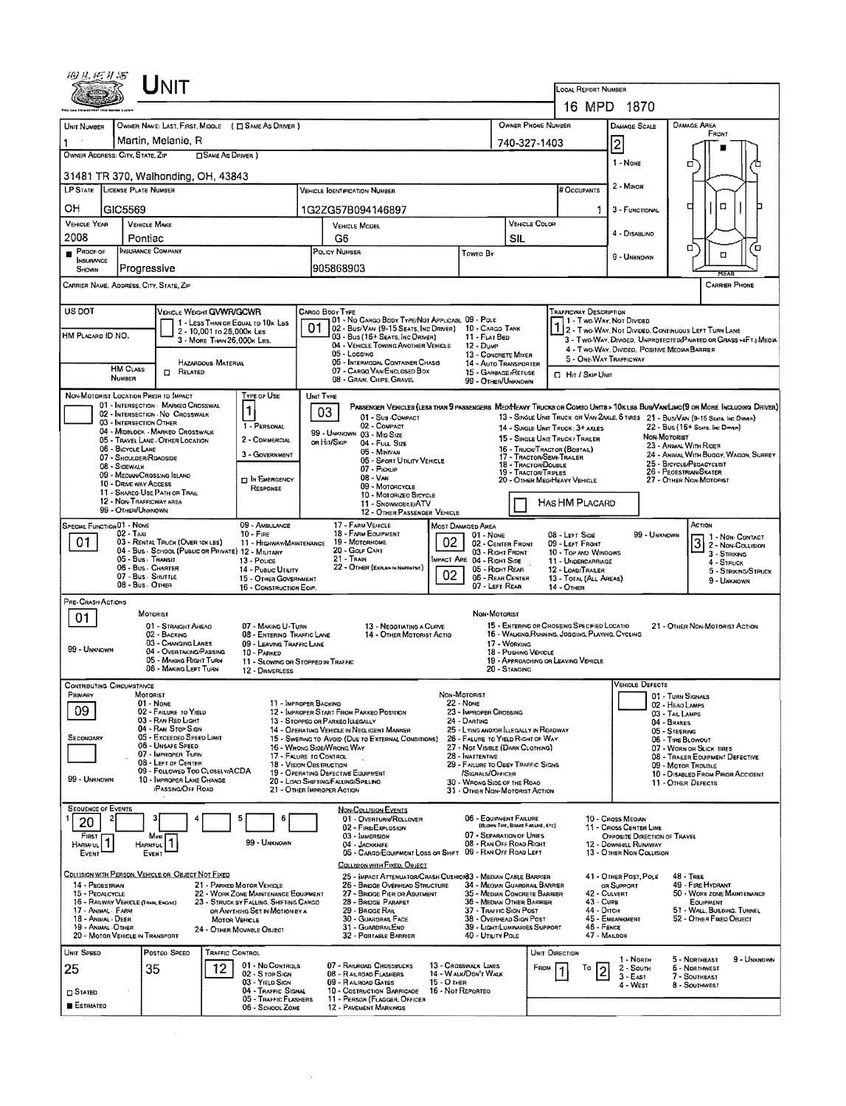| UNIT                                                                                                                                                                                                                     |                                                                                                                                          |                                                                                                            |                                                                                                                                                                                                                     |  |  |  |  |  |  |  |  |
|--------------------------------------------------------------------------------------------------------------------------------------------------------------------------------------------------------------------------|------------------------------------------------------------------------------------------------------------------------------------------|------------------------------------------------------------------------------------------------------------|---------------------------------------------------------------------------------------------------------------------------------------------------------------------------------------------------------------------|--|--|--|--|--|--|--|--|
|                                                                                                                                                                                                                          | LOCAL REPORT NUMBER                                                                                                                      |                                                                                                            |                                                                                                                                                                                                                     |  |  |  |  |  |  |  |  |
|                                                                                                                                                                                                                          |                                                                                                                                          | 16 MPD 1870                                                                                                |                                                                                                                                                                                                                     |  |  |  |  |  |  |  |  |
| OWNER NAME: LAST, FIRST, MIDDLE ( C SAME AS DRIVER )<br>UNIT NUMBER<br>Martin, Melanie, R                                                                                                                                |                                                                                                                                          | OWNER PHONE NUMBER                                                                                         | <b>DAMAGE AREA</b><br><b>DAMAGE SCALE</b><br>FRONT                                                                                                                                                                  |  |  |  |  |  |  |  |  |
| OWNER ADDRESS: CITY, STATE, ZIP<br><b>CISAME AS DRIVER</b> )                                                                                                                                                             |                                                                                                                                          | 740-327-1403                                                                                               | $\vert$ 2                                                                                                                                                                                                           |  |  |  |  |  |  |  |  |
| 31481 TR 370, Walhonding, OH, 43843                                                                                                                                                                                      |                                                                                                                                          | 1 - NONE<br>о                                                                                              |                                                                                                                                                                                                                     |  |  |  |  |  |  |  |  |
| LP STATE LICENSE PLATE NUMBER                                                                                                                                                                                            | # Occupants                                                                                                                              | 2 - MINOR                                                                                                  |                                                                                                                                                                                                                     |  |  |  |  |  |  |  |  |
| он<br>GIC5569                                                                                                                                                                                                            | 1G2ZG57B094146897                                                                                                                        |                                                                                                            | $\Box$<br>с<br>3 - FUNCTIONAL                                                                                                                                                                                       |  |  |  |  |  |  |  |  |
| VEHICLE YEAR<br><b>VEHICLE MAKE</b>                                                                                                                                                                                      | <b>VEHICLE MODEL</b>                                                                                                                     | <b>VEHICLE COLOR</b>                                                                                       | 4 - Disablino                                                                                                                                                                                                       |  |  |  |  |  |  |  |  |
| 2008<br>Pontiac<br><b>INSURANCE COMPANY</b><br>PROOF OF                                                                                                                                                                  | G6<br>POLICY NUMBER<br>Toweo By                                                                                                          | <b>SIL</b>                                                                                                 | ้ต<br>0                                                                                                                                                                                                             |  |  |  |  |  |  |  |  |
| <b>INSURANCE</b><br>Progressive<br>SHOWN                                                                                                                                                                                 | 905868903                                                                                                                                |                                                                                                            | α<br>9 - UNKNOWN                                                                                                                                                                                                    |  |  |  |  |  |  |  |  |
| CARRIER NAME, ADDRESS, CITY, STATE, ZIP<br><b>CARRIER PHONE</b>                                                                                                                                                          |                                                                                                                                          |                                                                                                            |                                                                                                                                                                                                                     |  |  |  |  |  |  |  |  |
| US DOT                                                                                                                                                                                                                   | CARGO BOOY TYPE                                                                                                                          | <b>TRAFFICWAY DESCRIPTION</b>                                                                              |                                                                                                                                                                                                                     |  |  |  |  |  |  |  |  |
| VEHICLE WEIGHT GVWR/GCWR<br>1 - LESS THAN OR EQUAL TO 10K LBS                                                                                                                                                            | 01 - No CARGO BODY TYPE/NOT APPLICABL 09 - POLE<br>01<br>02 - Bus/Van (9-15 Seats, Inc Driver)                                           | 10 - CARGO TANK                                                                                            | 1 - Two Way, Not Divided                                                                                                                                                                                            |  |  |  |  |  |  |  |  |
| 2 - 10,001 to 25,000x Lss<br>HM PLACARD ID NO.<br>3 - MORE THAN 26,000K LBS.                                                                                                                                             | 03 - Bus (16+ Seats, Inc DRIVER)<br>04 - VEHICLE TOWING ANOTHER VEHICLE<br>$12 - D$ uм $P$                                               | 11 - FLAT BED                                                                                              | 2 - Two Way, Not Divided, Continuous LEFT TURN LANE<br>3 - Two-Way, Divided, UNPROTECTED (PAINTED OR GRASS >4FT.) MEOIA                                                                                             |  |  |  |  |  |  |  |  |
| HAZARDOUS MATERIAL                                                                                                                                                                                                       | 05 - Lossins<br>06 - INTERMODAL CONTAINER CHASIS                                                                                         | 13 - CONCRETE MIXER<br>14 - AUTO TRANSPORTER                                                               | 4 - Two-Way, Divided, Positive Median Barrier<br>5 - ONE-WAY TRAFFICWAY                                                                                                                                             |  |  |  |  |  |  |  |  |
| <b>HM CLASS</b><br>$\Box$<br>RELATED<br><b>NUMBER</b>                                                                                                                                                                    | 07 - CARGO VAN/ENCLOSED BOX<br>08 - GRAIN, CHPS, GRAVEL                                                                                  | 15 - GARBAGE/REFUSE<br><b>D</b> Hit / Skip UNIT<br>99 - OTHER/UNKNOWN                                      |                                                                                                                                                                                                                     |  |  |  |  |  |  |  |  |
| NON-MOTORIST LOCATION PRIOR TO IMPACT<br>TYPE OF USE                                                                                                                                                                     | UNIT TYPE                                                                                                                                |                                                                                                            |                                                                                                                                                                                                                     |  |  |  |  |  |  |  |  |
| 01 - INTERSECTION - MARKEO CROSSWAL<br>$\mathbf{1}$<br>02 - INTERSECTION NO CROSSWALK<br>03 - INTERSECTION OTHER                                                                                                         | 03<br>01 - Sus COMPACT                                                                                                                   |                                                                                                            | PARSENGEN VEHICLES (LESS THAN 9 PASSENGERS MED/HEAVY TRUCKS OR COMBO UNITS > 10K LES BUS/VAN/LIMO(9 OR MORE INCLUDING DRIVER)<br>13 - SINGLE UNIT TRUCK OR VAN 2AXLE, 6 TIRES 21 - BUS/VAN (9-15 SEATS, INC DIRNER) |  |  |  |  |  |  |  |  |
| 1 - PERSONAL<br>04 - MIDBLOCK - MARKED CROSSWALK<br>2 - COMMERCIAL<br>05 - TRAVEL LANE - OTHER LOCATION                                                                                                                  | 02 - COMPACT<br>99 - UNKNOWN 03 - MID SIZE                                                                                               | 14 - SINGLE UNIT TRUCK: 3+ AXLES<br>15 - SINGLE UNIT TRUCK / TRAILER                                       | 22 - BUS (16+ SEATS, INC DIRNER)<br>NON-MOTORIST                                                                                                                                                                    |  |  |  |  |  |  |  |  |
| 06 - BICYCLE LANE<br>3 - GOVERNMENT<br>07 - SHOULDER/ROADSIDE                                                                                                                                                            | OR HIT/SKIP<br>04 - Futt Stze<br>05 - MINIVAN                                                                                            | 16 - TRUCK/TRACTOR (BOBTAIL)<br>17 - TRACTOR/SEMI-TRAILER                                                  | 23 - ANMAL WITH RIDER<br>24 - ANIMAL WITH BUGGY, WAGON, SURREY                                                                                                                                                      |  |  |  |  |  |  |  |  |
| 08 - SIDEWALK<br>09 - MEDWWCROSSING ISLAND                                                                                                                                                                               | 06 - Sport Utility Vericle<br>07 - Pickup                                                                                                | 18 - TRACTOR/DOUBLE<br><b>19 - TRACTOR/TRIPLES</b>                                                         | 25 - BICYCLE/PEDACYCLIST<br>26 - PEOESTRIAN/SKATER                                                                                                                                                                  |  |  |  |  |  |  |  |  |
| <b>D</b> IN EMERGENCY<br>10 - DRIVE WAY ACCESS<br>RESPONSE<br>11 - SHAREO-USE PATH OR TRAIL                                                                                                                              | $08 - V_{AN}$<br>09 - MOTORCYCLE                                                                                                         | 20 - OTHER MED/HEAVY VEHICLE                                                                               | 27 - OTHER NON-MOTORIST                                                                                                                                                                                             |  |  |  |  |  |  |  |  |
| 12 - NON-TRAFFICWAY AREA<br>99 - OTHER/UNKNOWN                                                                                                                                                                           | 10 - MOTORIZEO BICYCLE<br>11 - SNOWMOBILE/ATV<br>12 - OTHER PASSENGER VEHICLE                                                            | <b>HAS HM PLACARD</b>                                                                                      |                                                                                                                                                                                                                     |  |  |  |  |  |  |  |  |
| SPECIAL FUNCTION 01 - NONE<br>09 - AMBULANCE                                                                                                                                                                             | 17 - FARM VEHICLE<br>MOST DAMAGED AREA                                                                                                   |                                                                                                            | ACTION                                                                                                                                                                                                              |  |  |  |  |  |  |  |  |
| $02 - T_Ax1$<br>$10 -$ Figs.<br>01<br>03 - RENTAL TRUCK (OVER 10K LBS)<br>11 - HIGHWAY/MAINTENANCE                                                                                                                       | 18 - FARM EQUIPMENT<br>02<br>19 - MOTORHOME                                                                                              | 01 - NONE<br>08 - LEFT SIDE<br>02 - CENTER FRONT<br>09 - LEFT FRONT                                        | 99 - Unknown<br>1 - Non-Contact<br>$\overline{3}$<br>2 - Non-Collision                                                                                                                                              |  |  |  |  |  |  |  |  |
| 04 - Bus - School (Public or Private) 12 - Military<br>05 - Bus - Transit<br>13 - Pouce                                                                                                                                  | 20 - GOLF CART<br>$21 -$ Tran<br>MPACT ARE 04 - RIGHT SIDE                                                                               | 03 - Right Front<br>10 - TOP AND WINDOWS<br>11 - UNDERCARRIAGE                                             | 3 - STRIKING<br>4 - STRUCK                                                                                                                                                                                          |  |  |  |  |  |  |  |  |
| 06 - Bus - Charter<br>14 - PUBLIC UTILITY<br>07 - Bus - SHUTTLE<br>15 - OTHER GOVERNMENT                                                                                                                                 | 22 - OTHER (EXPLAN IN NAPPARTNE)<br>02 <sub>1</sub>                                                                                      | 05 - RIGHT REAR<br>12 - LOAD! TRAILER<br>06 - REAR CENTER<br>13 - TOTAL (ALL AREAS)                        | 5 - STRIKING/STRUCK<br>9 - Unknown                                                                                                                                                                                  |  |  |  |  |  |  |  |  |
| 08 - Bus OTHER<br>16 - CONSTRUCTION EOIP.<br>PRE- Crash Actions                                                                                                                                                          |                                                                                                                                          | 07 - LEFT REAR<br>$14 -$ OTHER                                                                             |                                                                                                                                                                                                                     |  |  |  |  |  |  |  |  |
| MOTORIST<br>01                                                                                                                                                                                                           |                                                                                                                                          | NON-MOTORIST                                                                                               |                                                                                                                                                                                                                     |  |  |  |  |  |  |  |  |
| 01 - STRAIGHT AHEAD<br>07 - MAKING U-TURN<br>02 - BACKING<br>08 - ENTERING TRAFFIC LANE                                                                                                                                  | 13 - NEGOTIATING A CURVE<br>14 - OTHER MOTORIST ACTIO                                                                                    | 15 - ENTERING OR CROSSING SPECIFIED LOCATIO<br>16 - WALKING, RUNNING, JOGGING, PLAYING, CYCLING            | 21 - OTHER NON-MOTORIST ACTION                                                                                                                                                                                      |  |  |  |  |  |  |  |  |
| 03 - CHANGING LANES<br>09 - LEAVING TRAFFIC LANE<br>99 - UNKNOWN<br>04 - OVERTAKING/PASSING<br>10 - PARKED                                                                                                               |                                                                                                                                          | 17 - WORKING<br>18 - PUSHING VEHICLE                                                                       |                                                                                                                                                                                                                     |  |  |  |  |  |  |  |  |
| 05 - MAKING RIGHT TURN<br>06 - MAKING LEFT TURN<br>12 - DRIVERLESS                                                                                                                                                       | 11 - SLOWING OR STOPPED IN TRAFFIC                                                                                                       | 19 - APPROACHING OR LEAVING VEHICLE<br>20 - Standing                                                       |                                                                                                                                                                                                                     |  |  |  |  |  |  |  |  |
| <b>CONTRIBUTING CIRCUMSTANCE</b><br>MOTORIST                                                                                                                                                                             | NON-MOTORIST                                                                                                                             |                                                                                                            | <b>VEHICLE DEFECTS</b>                                                                                                                                                                                              |  |  |  |  |  |  |  |  |
| PRIMARY<br>$01 - None$<br>09<br>02 - FAILURE TO YIELD                                                                                                                                                                    | 11 - IMPROPER BACKING<br>22 Nove<br>12 - IMPROPER START FROM PARKEO POSITION                                                             | 23 - IMPROPER CROSSING                                                                                     | 01 - TURN SIGNALS<br>02 - HEAO LAMPS                                                                                                                                                                                |  |  |  |  |  |  |  |  |
| 03 - RAN REO LIGHT<br>04 - RAN STOP SIGN                                                                                                                                                                                 | 24 - DARTING<br>13 - Stopped or PARKEO LLEGALLY<br>14 - OPERATING VEHICLE IN NEGLIGENT MANNER                                            | 25 - LYING AND/OR ILLEGALLY IN ROADWAY                                                                     | 03 - TAIL LAMPS<br>04 - BRAKES                                                                                                                                                                                      |  |  |  |  |  |  |  |  |
| 05 - Exceeded Speed Limit<br>Secondary<br>06 - UNSAFE SPEED                                                                                                                                                              | 15 - Swering to Avoid (Due to External Conditions)<br>16 - WRONG SIGE/WRONG WAY                                                          | 26 - FALURE TO YIELD RIGHT OF WAY<br>27 - NOT VISIBLE (DARK CLOTHING)                                      | 05 - STEERING<br>06 - TIRE BLOWOUT                                                                                                                                                                                  |  |  |  |  |  |  |  |  |
| 07 - IMPROPER TURN<br>08 - LEFT OF CENTER                                                                                                                                                                                | 17 - FALURE TO CONTROL<br>28 - INATTENTIVE<br>18 - VISION OBSTRUCTION                                                                    | 29 - FAILURE TO OBEY TRAFFIC SIGNS                                                                         | 07 - WORN OR SLICK TIRES<br>08 - TRAILER EQUIPMENT DEFECTIVE<br>09 - MOTOR TROUBLE                                                                                                                                  |  |  |  |  |  |  |  |  |
| 09 - FOLLOWED TOO CLOSELWACDA<br>99 - UNKNOWN<br>10 - IMPROPER LANE CHANGE                                                                                                                                               | 19 - OPERATING DEFECTIVE EQUIPMENT<br>20 - LOAO SHIFTING/FALLING/SPILLING                                                                | /SIGNALS/OFFICER<br>10 - DISABLED FROM PRIOR ACCIDENT<br>30 - WRONG SIDE OF THE ROAD<br>11 - OTHER DEFECTS |                                                                                                                                                                                                                     |  |  |  |  |  |  |  |  |
| <b>PASSING/OFF ROAD</b>                                                                                                                                                                                                  | 21 - OTHER IMPROPER ACTION                                                                                                               | 31 - OTHER NON-MOTORIST ACTION                                                                             |                                                                                                                                                                                                                     |  |  |  |  |  |  |  |  |
| <b>SEQUENCE OF EVENTS</b><br>5<br>6<br>2                                                                                                                                                                                 | NON-COLLISION EVENTS<br>01 - OVERTURN/ROLLOVER                                                                                           | 06 - EQUIPMENT FAILURE                                                                                     | 10 - CROSS MEORN                                                                                                                                                                                                    |  |  |  |  |  |  |  |  |
| 20<br>Funst<br>Most                                                                                                                                                                                                      | 02 - FIRE/EXPLOSION<br>03 - IMMERSION                                                                                                    | (BLOWN TIRE, BRAKE FAILURE, ETC)<br>07 - SEPARATION OF UNITS                                               | 11 - CROSS CENTER LINE<br>OPPOSITE DIRECTION OF TRAVEL                                                                                                                                                              |  |  |  |  |  |  |  |  |
| 1<br>99 - UNKNOWN<br>08 - RAN OFF ROAD RIGHT<br>04 - JACKKNIFE<br>12 - DOWNHILL RUNAWAY<br>HARMFUL<br>Harmful<br>05 - CARGO/EQUIPMENT LOSS OR SHIFT 09 - RAN OFF ROAD LEFT<br>13 - OTHER NON-COLLISION<br>EVENT<br>EVENT |                                                                                                                                          |                                                                                                            |                                                                                                                                                                                                                     |  |  |  |  |  |  |  |  |
|                                                                                                                                                                                                                          | COLLISION WITH FIXED, OBJECT.                                                                                                            |                                                                                                            |                                                                                                                                                                                                                     |  |  |  |  |  |  |  |  |
| <u>COLLISION WITH PERSON, VEHICLE OR OBJECT NOT FIXED</u><br>14 - PEOESTRIAN<br>21 - PARKED MOTOR VEHICLE                                                                                                                | 25 - IMPACT ATTENUATOR/CRASH CUSHION33 - MEDIAN CABLE BARRIER<br>26 - BRIDGE OVERHEAD STRUCTURE                                          | 34 - MEOWN GUARORAIL BARRIER                                                                               | 41 - OTHER POST, POLE<br><b>48 - TREE</b><br>49 - FIRE HYDRANT<br>OR SUPPORT                                                                                                                                        |  |  |  |  |  |  |  |  |
| 15 - PEDALCYCLE<br>22 - WORK ZONE MAINTENANCE EQUIPMENT<br>16 - RAILWAY VEHICLE (TRAIN, ENGINE)<br>23 - STRUCK BY FALLING, SHIFTING CARGO                                                                                | 27 - BRIDGE PIER OR ABUTMENT<br>28 - BROGE PARAPET                                                                                       | 35 - Median Concrete Barrier<br>36 - MEDIAN OTHER BARRIER<br>43 - CURB<br>44 - Опсн                        | 42 - CULVERT<br>50 - WORK ZONE MAINTENANCE<br>EQUIPMENT                                                                                                                                                             |  |  |  |  |  |  |  |  |
| 17 - ANIMAL - FARM<br>OR ANYTHING SET IN MOTION BY A<br>18 - Animal - Deer<br><b>MOTOR VEHICLE</b><br>19 - ANIMAL - OTHER                                                                                                | 29 - Bridge Rail<br>30 - GUARDRAIL FACE<br>31 - GUARDRAILENO                                                                             | 37 - TRAFFIC SIGN POST<br>38 - Overhead Sign Post<br>39 - LIGHT/LUMINARIES SUPPORT                         | 51 - WALL, BULDING, TUNNEL<br>45 - EMBANKMENT<br>52 - OTHER FIXED OBJECT<br>46 - FENCE                                                                                                                              |  |  |  |  |  |  |  |  |
| 24 - OTHER MOVABLE OBJECT<br>20 - MOTOR VEHICLE IN TRANSPORT                                                                                                                                                             | 32 - PORTABLE BARRIER                                                                                                                    | 40 - UTILITY POLE                                                                                          | 47 - MAILBOX                                                                                                                                                                                                        |  |  |  |  |  |  |  |  |
| Posteo SPEED<br><b>UNIT SPEED</b><br><b>TRAFFIC CONTROL</b>                                                                                                                                                              |                                                                                                                                          | UNIT DIRECTION                                                                                             | 9 - UNKNOWN<br>1 - North<br>5 - Northeast                                                                                                                                                                           |  |  |  |  |  |  |  |  |
| 01 - No CONTROLS<br>12<br>25<br>35<br>02 - S TOP SIGN<br>03 - YIELD SIGN                                                                                                                                                 | 07 - RAILROAD CROSSBUCKS<br>13 - CROSSWALK LINES<br>14 - WALK/DON'T WALK<br>08 - RAILROAD FLASHERS<br>15 - O THER<br>09 - RAILROAD GATES | <b>FROM</b><br>То                                                                                          | 2 - South<br>6 - Northwest<br>$3 - East$<br>7 - SOUTHEAST                                                                                                                                                           |  |  |  |  |  |  |  |  |
| 04 - TRAFFIC SIGNAL<br>$\square$ Stated<br>05 - Traffic Flashers                                                                                                                                                         | 10 - COSTRUCTION BARRICADE<br>16 - Not Reported<br>11 - PERSON (FLAGGER, OFFICER                                                         |                                                                                                            | 4 - West<br>8 - Southwest                                                                                                                                                                                           |  |  |  |  |  |  |  |  |
| <b>ESTIMATEO</b><br>06 - SCHOOL ZONE                                                                                                                                                                                     | 12 - PAVEMENT MARKINGS                                                                                                                   |                                                                                                            |                                                                                                                                                                                                                     |  |  |  |  |  |  |  |  |

 $\sim 10^{-10}$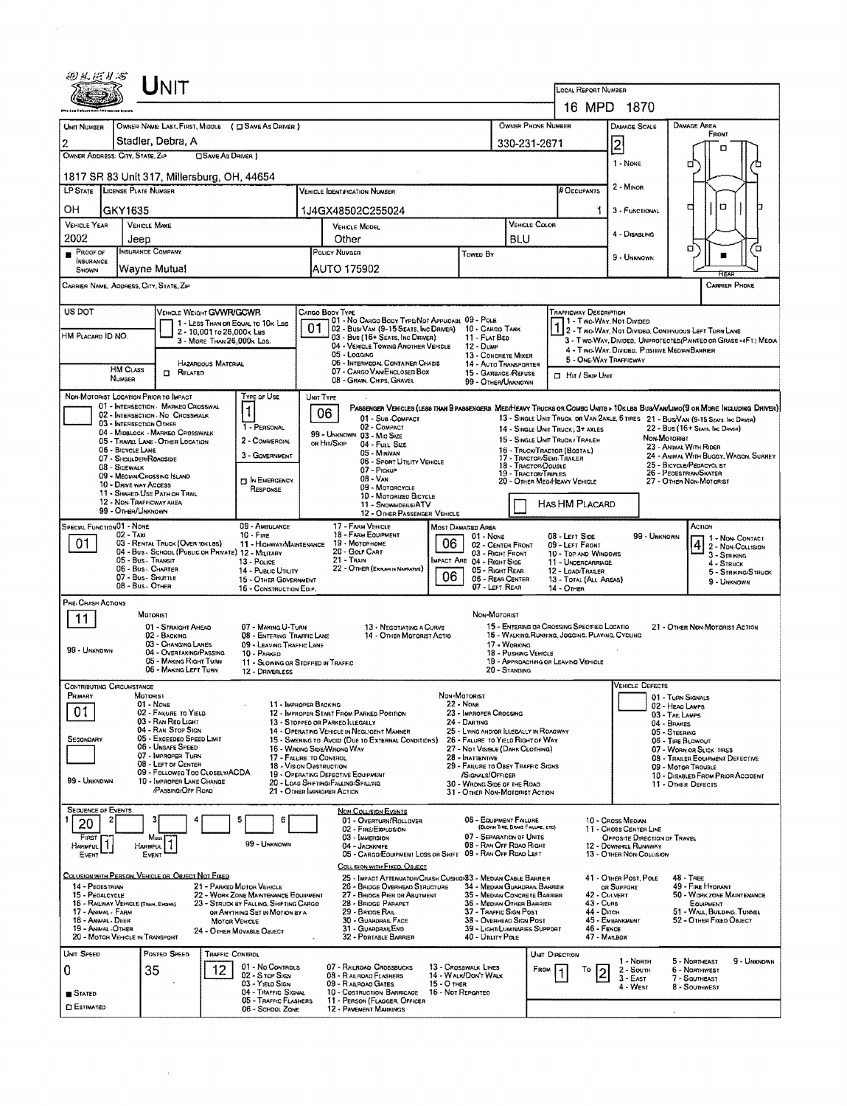|                                                            | Unit                                                                     |                                                                                |                                                                                                 |                                                                            |                                                               |                                                        |                                                                      |                                                                                                                                   |                                                                                                                              |  |  |  |  |
|------------------------------------------------------------|--------------------------------------------------------------------------|--------------------------------------------------------------------------------|-------------------------------------------------------------------------------------------------|----------------------------------------------------------------------------|---------------------------------------------------------------|--------------------------------------------------------|----------------------------------------------------------------------|-----------------------------------------------------------------------------------------------------------------------------------|------------------------------------------------------------------------------------------------------------------------------|--|--|--|--|
|                                                            |                                                                          |                                                                                | LOCAL REPORT NUMBER<br>16 MPD 1870                                                              |                                                                            |                                                               |                                                        |                                                                      |                                                                                                                                   |                                                                                                                              |  |  |  |  |
| UNIT NUMBER                                                | OWNER NAME: LAST, FIRST, MIDDLE ( C SAME AS DRIVER )                     |                                                                                | OWNER PHONE NUMBER                                                                              |                                                                            |                                                               | DAMAGE AREA                                            |                                                                      |                                                                                                                                   |                                                                                                                              |  |  |  |  |
| 2                                                          | Stadler, Debra, A                                                        |                                                                                |                                                                                                 | 330-231-2671                                                               |                                                               | DAMAGE SCALE<br>2                                      | FRONT                                                                |                                                                                                                                   |                                                                                                                              |  |  |  |  |
| OWNER ADDRESS: CITY, STATE, ZIP                            | OSAME AS DRIVER )                                                        |                                                                                |                                                                                                 |                                                                            |                                                               | п                                                      |                                                                      |                                                                                                                                   |                                                                                                                              |  |  |  |  |
|                                                            | 1817 SR 83 Unit 317, Millersburg, OH, 44654                              |                                                                                | 1 - NONE                                                                                        | □                                                                          |                                                               |                                                        |                                                                      |                                                                                                                                   |                                                                                                                              |  |  |  |  |
| LP STATE LICENSE PLATE NUMBER                              |                                                                          |                                                                                | <b>VEHICLE IDENTIFICATION NUMBER</b>                                                            |                                                                            |                                                               | # Occupants                                            | 2 - Minor                                                            |                                                                                                                                   |                                                                                                                              |  |  |  |  |
| OН<br>GKY1635                                              |                                                                          |                                                                                | 1J4GX48502C255024                                                                               |                                                                            |                                                               |                                                        |                                                                      | 3 - FUNCTIONAL                                                                                                                    | O<br>П                                                                                                                       |  |  |  |  |
| VEHICLE YEAR<br>2002                                       | <b>VEHICLE MAKE</b>                                                      |                                                                                | VEHICLE MODEL                                                                                   |                                                                            | <b>VEHICLE COLOR</b>                                          |                                                        | 4 - DISABLING                                                        |                                                                                                                                   |                                                                                                                              |  |  |  |  |
| Jeep<br>PROOF OF                                           | <b>INSURANCE COMPANY</b>                                                 |                                                                                | Other<br>POLICY NUMBER<br>Towen By                                                              |                                                                            |                                                               | BLU                                                    |                                                                      | 9 - Unknown                                                                                                                       | σ<br>п                                                                                                                       |  |  |  |  |
| INSURANCE<br>SHOWN                                         | Wayne Mutual                                                             |                                                                                | AUTO 175902                                                                                     |                                                                            |                                                               |                                                        |                                                                      |                                                                                                                                   |                                                                                                                              |  |  |  |  |
| CARRIER PHONE<br>CARRIER NAME, AODRESS, CITY, STATE, ZIP   |                                                                          |                                                                                |                                                                                                 |                                                                            |                                                               |                                                        |                                                                      |                                                                                                                                   |                                                                                                                              |  |  |  |  |
| US DOT                                                     | VEHICLE WEIGHT GVWR/GCWR                                                 |                                                                                | CARGO BOOY TYPE                                                                                 |                                                                            |                                                               |                                                        | <b>TRAFFICWAY DESCRIPTION</b>                                        |                                                                                                                                   |                                                                                                                              |  |  |  |  |
| HM PLACARD ID NO.                                          | 1 - LESS THAN OR EQUAL TO 10K LBS<br>2 - 10,001 to 26,000x Les           |                                                                                | 01 - No CARGO BODY TYPE/NOT APPLICABL 09 - POLE<br>01<br>02 - Busi Van (9-15 Seats, Inc Driver) |                                                                            | 10 - CARGO TANK                                               |                                                        | 1 - Two-Way, Not Divideo                                             |                                                                                                                                   | 2 - Two-Way, Not Divided, Continuous Left Turn Lane                                                                          |  |  |  |  |
|                                                            | 3 - MORE THAN 26,000K Las.                                               |                                                                                | 03 - Bus (16+ SEATS, INC DRIVER)<br>04 - VEHICLE TOWING ANOTHER VEHICLE<br>05 - Logging         |                                                                            | 11 - FLAT BED<br>12 - Dump<br>13 - CONCRETE MIXER             |                                                        |                                                                      | 4 - Two-Way, Divided, Positive Meoran Barrier                                                                                     | 3 - T WO-WAY, DIVIDED, UNPROTECTED (PAINTED OR GRASS > 4FT.) MEDIA                                                           |  |  |  |  |
| <b>HM CLASS</b>                                            | HAZARDOUS MATERIAL<br>$\Box$<br>RELATED                                  |                                                                                | 06 - INTERMODAL CONTAINER CHASIS<br>07 - CARGO VAN ENGLOSED BOX                                 |                                                                            | 14 - AUTO TRANSPORTER<br>15 - GARBAGE /REFUSE                 |                                                        | 5 - ONE-WAY TRAFFICWAY                                               |                                                                                                                                   |                                                                                                                              |  |  |  |  |
| <b>NUMBER</b>                                              |                                                                          |                                                                                | 08 - GRAIN, CHIPS, GRAVEL                                                                       |                                                                            | 99 - OTHER/UNKNOWN                                            |                                                        | $\Box$ Hit / Skip Unit                                               |                                                                                                                                   |                                                                                                                              |  |  |  |  |
| NON-MOTORIST LOCATION PRIOR TO IMPACT                      | 01 - INTERSECTION MARKED CROSSWAL                                        | TYPE OF USE                                                                    | UNIT TYPE                                                                                       |                                                                            |                                                               |                                                        |                                                                      |                                                                                                                                   | PASSENGER VEHICLES (LESS THAN SPASSENGERS MEDIHEAVY TRUCKS OR COMBO UNITS > 10K LBS BUS/VAM LIMO(S OR MORE INCLUDING DRIVER) |  |  |  |  |
| 03 - INTERSECTION OTHER                                    | 02 - INTERSECTION - NO CROSSWALK                                         | 1 - PERSONAL                                                                   | 06<br>01 - Sub-Compact<br>02 - COMPACT                                                          |                                                                            |                                                               |                                                        | 14 - SINGLE UNIT TRUCK: 3+ AXLES                                     |                                                                                                                                   | 13 - SINGLE UNIT TRUCK OR VAN 2AXLE, 6 TIRES 21 - BUSVAN (9-15 SEATS, INC DRIVER)<br>22 - BUS (16+ Seats, Inc Danea)         |  |  |  |  |
| 06 - BICYCLE LANE                                          | 04 - MIDBLOCK - MARKEO CROSSWALK<br>05 - TRAVEL LANE - OTHER LOCATION    | 2 - COMMERCIAL                                                                 | 99 - UNKNOWN 03 - MIO SIZE<br>OR HIT/SKIP<br>04 - Fun Size                                      |                                                                            |                                                               |                                                        | 15 - SINGLE UNIT TRUCK / TRAILER<br>16 - TRUCK/TRACTOR (BOSTAIL)     |                                                                                                                                   | <b><i><u>Мон-Мотовівт</u></i></b><br>23 - ANIMAL WITH RIDER                                                                  |  |  |  |  |
| 07 - SHOULDER/ROADSIDE<br>08 - SIDEWALK                    |                                                                          | 3 - GOVERNMENT                                                                 | 05 - MINIVAN<br>06 - Sport UTILITY VEHICLE                                                      |                                                                            |                                                               | 18 - TRACTOR/DOUBLE                                    | 17 - TRACTOR/SEMI-TRAILER                                            | 24 - ANIMAL WITH BUGGY, WAGON, SURREY<br>25 - BICYCLE/PEDACYCLIST                                                                 |                                                                                                                              |  |  |  |  |
| 09 - MEOIAN/CROSSING ISLAND<br>10 - DRIVE WAY ACCESS       |                                                                          | <b>DIN EMERGENCY</b>                                                           | 07 - Pickup<br>$08 - V_{AN}$<br>09 - MOTORCYCLE                                                 |                                                                            | 19 - TRACTOR/TRIPLES                                          | 20 - OTHER MEO/HEAVY VEHICLE                           |                                                                      | 26 - PEOESTRIAN/SKATER<br>27 - OTHER NON-MOTORIST                                                                                 |                                                                                                                              |  |  |  |  |
| 12 - NON-TRAFFICWAY AREA                                   | 11 - SHARED-USE PATH OR TRAIL                                            | RESPONSE                                                                       | 10 - MOTORIZED BICYCLE<br>11 - SNOWMOBILE/ATV                                                   |                                                                            | HAS HM PLACARD                                                |                                                        |                                                                      |                                                                                                                                   |                                                                                                                              |  |  |  |  |
| 99 - OTHER/UNKNOWN                                         |                                                                          |                                                                                | 12 - OTHER PASSENGER VEHICLE                                                                    |                                                                            |                                                               |                                                        |                                                                      |                                                                                                                                   |                                                                                                                              |  |  |  |  |
| SPECIAL FUNCTION 01 - NONE<br>02 - Тахі<br>01              | 03 - RENTAL TRUCK (OVER 10KLBS)                                          | 09 - AMBULANCE<br>$10 -$ Fire<br>11 - HIGHWAY/MAINTENANCE                      | 17 - FARM VEHICLE<br>18 - FARM EQUIPMENT<br>19 - MOTORHOME                                      | 06                                                                         | MOST DAMAGED AREA<br>01 - NONE<br>02 - CENTER FRONT           |                                                        | 08 - LEFT SIDE<br>09 - LEFT FRONT                                    | 99 - UNKNOWN                                                                                                                      | ACTION<br>1 - Non-Contact                                                                                                    |  |  |  |  |
| 05 - Bus. Transit                                          | 04 - Bus - School (Public or Private) 12 - Military                      | 13 - Pouce                                                                     | 20 - Gour CART<br>21 - TRAIN                                                                    |                                                                            | 03 - RIGHT FRONT<br>IMPACT ARE 04 - RIGHT SIDE                |                                                        | 10 - Top and Windows<br>11 - UNDERCARRIAGE                           |                                                                                                                                   | $ 4 2$ - Non-Collision<br>3 - STRIKING<br>4 - STRUCK                                                                         |  |  |  |  |
|                                                            | 06 - Bus - Charter<br>07 - Bus - SHUTTLE                                 | 14 - PUBLIC UTILITY<br>15 - OTHER GOVERNMENT                                   | 22 - OTHER (EXPLAN IN NAPRATIVE)                                                                | 06                                                                         | 05 - Right Rear<br>06 - REAR CENTER                           |                                                        | 12 - LOAD/TRASER<br>13 - TOTAL (ALL AREAS)                           |                                                                                                                                   | 5 - STRIKNG/STRUCK<br>9 - UNKNOWN                                                                                            |  |  |  |  |
| 08 - Bus OTHER<br>PRE-CRASH ACTIONS                        |                                                                          | 16 - CONSTRUCTION EOIP.                                                        |                                                                                                 |                                                                            | 07 - LEFT REAR                                                |                                                        | 14 - OTHER                                                           |                                                                                                                                   |                                                                                                                              |  |  |  |  |
| 11                                                         | MOTORIST                                                                 |                                                                                |                                                                                                 |                                                                            | Non-Motorist                                                  |                                                        |                                                                      |                                                                                                                                   |                                                                                                                              |  |  |  |  |
|                                                            | 01 - STRAIGHT AHEAD<br>02 - BACKING                                      | 07 - MAKING U-TURN<br>08 - ENTERING TRAFFIC LANE                               | 13 - NEGOTIATING A CURVE                                                                        | 14 - OTHER MOTORIST ACTIO                                                  |                                                               |                                                        |                                                                      | 15 - ENTERING OR CROSSING SPECIFIED LOCATIO<br>21 - OTHER NON-MOTORIST ACTION<br>16 - WALKING, RUNNING, JOGGING, PLAYING, CYCLING |                                                                                                                              |  |  |  |  |
| 99 - UNKNOWN                                               | 03 - CHANGING LANES<br>04 - OVERTAKING/PASSING<br>05 - MAKING RIGHT TURN | 09 - LEAVING TRAFFIC LANE<br>10 - PARKED                                       |                                                                                                 |                                                                            |                                                               | 17 - WORKING<br>18 - PUSHING VEHICLE                   |                                                                      | 19 - APPROACHING OR LEAVING VEHICLE                                                                                               |                                                                                                                              |  |  |  |  |
|                                                            | 06 - MAKING LEFT TURN                                                    | 11 - SLOWING OR STOPPED IN TRAFFIC<br>12 - DRIVERLESS                          |                                                                                                 |                                                                            |                                                               | 20 - Standing                                          |                                                                      |                                                                                                                                   |                                                                                                                              |  |  |  |  |
| <b>CONTRIBUTING CIRCUMSTANCE</b><br>PRIMARY                | MOTORIST                                                                 |                                                                                |                                                                                                 |                                                                            | NON-MOTORIST                                                  |                                                        |                                                                      | <b>VEHICLE DEFECTS</b>                                                                                                            | 01 - TURN SIGNALS                                                                                                            |  |  |  |  |
| 01                                                         | $01 - None$<br>02 - FAILURE TO YIELD                                     |                                                                                | 11 - IMPROPER BACKING<br>12 - IMPROPER START FROM PARKED POSITION                               |                                                                            | <b>22 - NONE</b><br>23 - IMPROPER CROSSING                    |                                                        |                                                                      |                                                                                                                                   | 02 - HEAO LAMPS<br>03 - TAIL LAMPS                                                                                           |  |  |  |  |
|                                                            | 03 - RAN RED LIGHT<br>04 - RAN STOP SIGN                                 |                                                                                | 13 - STOPPEO OR PARKEO LLEGALLY<br>14 - OPERATING VEHICLE IN NEGLIGENT MANNER                   |                                                                            | 24 - DARTING<br>25 - LYING AND/OR ILLEGALLY IN ROADWAY        |                                                        |                                                                      |                                                                                                                                   | 04 - BRAKES<br>05 - STEERING                                                                                                 |  |  |  |  |
| Secondary                                                  | 05 - Excesoso Speso Limit<br>06 - UNSAFE SPEED<br>07 - IMPROPER TURN     |                                                                                | 15 - SWERING TO AVOID (DUE TO EXTERNAL CONDITIONS)<br>16 - Wrong Side/Wrong Way                 | 26 - FALURE TO YIELD RIGHT OF WAY<br>27 - NOT VISIBLE (DARK CLOTHING)      | 06 - TIRE BLOWOUT<br>07 - WORN OR SLICK TIRES                 |                                                        |                                                                      |                                                                                                                                   |                                                                                                                              |  |  |  |  |
|                                                            | 08 - LEFT OF CENTER<br>09 - Followed Too CloselwACDA                     |                                                                                | 17 - FALURE TO CONTROL<br>18 - Vision Oastruction<br>19 - OPERATING DEFECTIVE EQUIPMENT         | 28 - INATTENTIVE<br>29 - FAILURE TO OBEY TRAFFIC SIGNS<br>/SIGNALS/OFFICER |                                                               | 08 - TRAILER EQUIPMENT DEFECTIVE<br>09 - MOTOR TROUBLE |                                                                      |                                                                                                                                   |                                                                                                                              |  |  |  |  |
| 99 - UNKNOWN                                               | 10 - IMPROPER LANE CHANGE<br><b>PASSING/OFF ROAD</b>                     |                                                                                | 20 - LOAD SHIFTING/FALLING/SPILLING<br>21 - OTHER IMPROPER ACTION                               |                                                                            | 30 - WRONG SIDE OF THE ROAD<br>31 - OTHER NON-MOTORIST ACTION |                                                        |                                                                      |                                                                                                                                   | 10 - DISABLED FROM PRIOR ACCIDENT<br>11 - OTHER DEFECTS                                                                      |  |  |  |  |
| <b>SEQUENCE OF EVENTS</b>                                  |                                                                          |                                                                                | <b>NON-COLLISION EVENTS</b>                                                                     |                                                                            |                                                               |                                                        |                                                                      |                                                                                                                                   |                                                                                                                              |  |  |  |  |
| 20                                                         |                                                                          | 5<br>6                                                                         | 01 - Overturn/Rollover<br>02 - FIRE/EXPLOSION                                                   |                                                                            | 06 - EQUIPMENT FAILURE                                        | (BLOWN TIRE, BRAKE FAILURE, ETC)                       |                                                                      | 10 - Cross Megian<br>11 - CROSS CENTER LINE                                                                                       |                                                                                                                              |  |  |  |  |
| FIRST<br>Harmful                                           | Most<br>Harmful                                                          | 99 - UNKNOWN                                                                   | 03 - IMMERSION<br>04 - JACKKNIFE                                                                |                                                                            | 07 - SEPARATION OF UNITS<br>08 - RAN OFF ROAD RIGHT           |                                                        |                                                                      | OPPOSITE DIRECTION OF TRAVEL<br>12 - DOWNHILL RUNAWAY                                                                             |                                                                                                                              |  |  |  |  |
| Event                                                      | EVENT                                                                    |                                                                                | 05 - CARGO/EQUIPMENT LOSS OR SHIFT 09 - RAN OFF ROAD LEFT<br>COLLISION WITH FIXED, OBJECT       |                                                                            |                                                               |                                                        |                                                                      | 13 - OTHER NON-COLLISION                                                                                                          |                                                                                                                              |  |  |  |  |
| 14 - PEOESTRIAN                                            | COLUSION WITH PERSON, VEHICLE OR OBJECT NOT FIXED                        | 21 - PARKED MOTOR VEHICLE                                                      | 25 - IMPACT ATTENUATOR/CRASH CUSHION 3 - MEDIAN CABLE BARRIER<br>26 - BRIDGE OVERHEAD STRUCTURE |                                                                            | 34 - Median Guardrail Barrier                                 |                                                        |                                                                      | 41 - OTHER POST, POLE<br>OR SUPPORT                                                                                               | 48 - TREE<br>49 - Fire Hyorant                                                                                               |  |  |  |  |
| 15 - PEDALCYCLE<br>16 - RAILWAY VEHICLE (TRAN, ENGINE)     |                                                                          | 22 - WORK ZONE MAINTENANCE EQUIPMENT<br>23 - STRUCK BY FALLING, SHIFTING CARGO | 27 - BRIDGE PIER OR ABUTMENT<br>28 - BRIDGE PARAPET                                             |                                                                            | 35 - MEDIAN CONCRETE BARRIER<br>36 - Median Other Barrier     |                                                        | 42 - Culvert<br>50 - WORK ZONE MAINTENANCE<br>43 - Cuns<br>EQUIPMENT |                                                                                                                                   |                                                                                                                              |  |  |  |  |
| 17 - ANIMAL - FARM<br>18 - ANWAL - DEER                    | MOTOR VEHICLE                                                            | OR ANYTHING SET IN MOTION BY A                                                 | 29 - BRIOGE RAIL<br>30 - GUARDRAIL FACE                                                         |                                                                            | 37 - TRAFFIC SIGN POST<br>38 - Overhead Sign Post             |                                                        | 44 - Опсн<br>45 - EMBANKMENT                                         | 51 - Wall, Burding, Tunnel<br>52 - OTHER FIXED OBJECT                                                                             |                                                                                                                              |  |  |  |  |
| <b>19 - ANWAL OTHER</b><br>20 - MOTOR VEHICLE IN TRANSPORT |                                                                          | 24 - Отнея Моулеце Оалест                                                      | 31 - GUARDRAILEND<br>32 - PORTABLE BARRIER                                                      |                                                                            | 39 - LIGHT/LUMINARIES SUPPORT<br>40 - Unury Pole              |                                                        | 46 - FENCE                                                           | 47 - MALBOX                                                                                                                       |                                                                                                                              |  |  |  |  |
| UNIT SPEED                                                 | POSTED SPEED<br>TRAFFIC CONTROL                                          |                                                                                |                                                                                                 |                                                                            |                                                               |                                                        | UNIT DIRECTION                                                       | 1 - Noath                                                                                                                         | 5 - Northeast<br>9 - UNKNOWN                                                                                                 |  |  |  |  |
| 0                                                          | 35<br>12                                                                 | 01 - No CONTROLS<br>02 - S TOP SIGN<br>03 - YIELD SIGN                         | 07 - RAILROAD CROSSBUCKS<br>08 - RAILROAD FLASHERS<br>09 - RAILROAD GATES                       | 15 - О тнея                                                                | 13 - CROSSWALK LINES<br>14 - WALK/DON'T WALK                  | FROM                                                   | То                                                                   | 2 - Soum<br>3 EAST                                                                                                                | 6 - NORTHWEST<br>7 - SOUTHEAST                                                                                               |  |  |  |  |
| STATED                                                     |                                                                          | 04 - TRAFFIC SIGNAL<br>05 - TRAFFIC FLASHERS                                   | 10 - COSTRUCTION BARRICADE<br>11 - PERSON (FLAGGER, OFFICER                                     | 16 - Not REPORTED                                                          |                                                               |                                                        |                                                                      | 4 - West                                                                                                                          | 8 - SOUTHWEST                                                                                                                |  |  |  |  |
| <b>CI ESTIMATEO</b>                                        |                                                                          | 06 - SCHOOL ZONE                                                               | <b>12 - PAVEMENT MARKINGS</b>                                                                   |                                                                            |                                                               |                                                        |                                                                      |                                                                                                                                   |                                                                                                                              |  |  |  |  |

 $\mathcal{L}^{\text{max}}_{\text{max}}$  and  $\mathcal{L}^{\text{max}}_{\text{max}}$